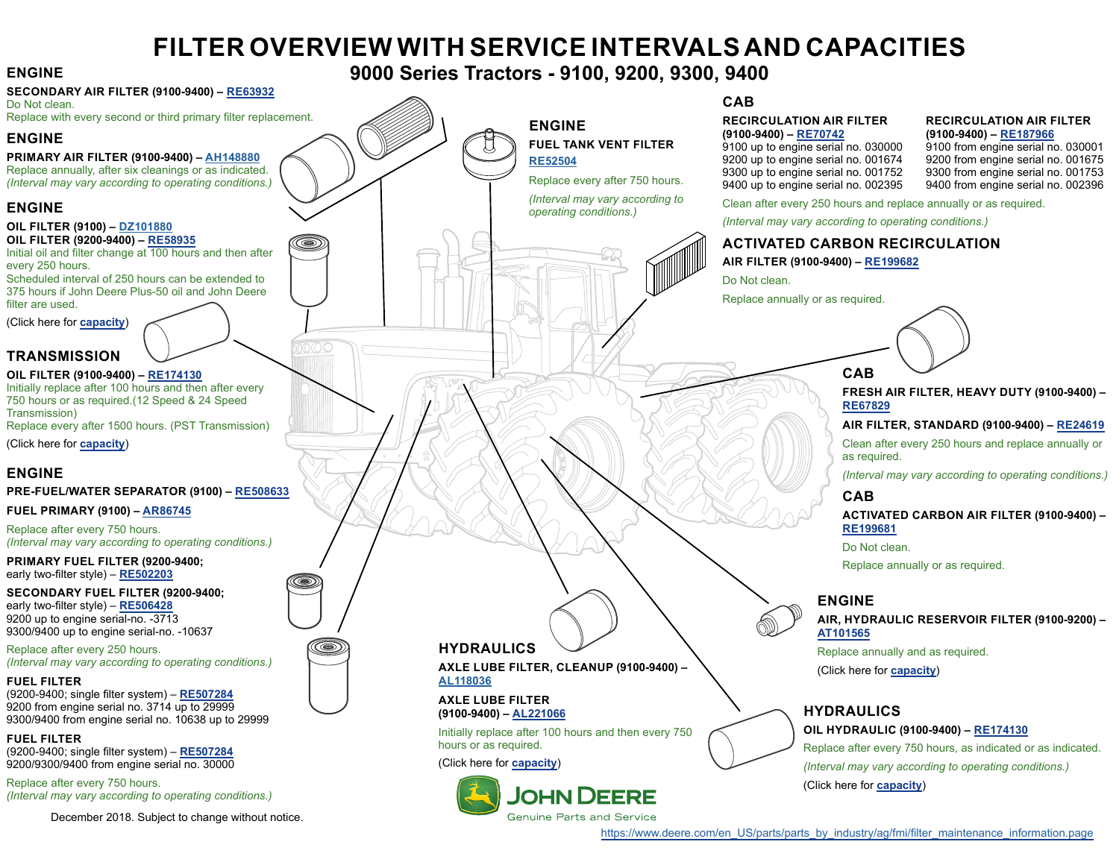# **FILTER OVERVIEW WITH SERVICE INTERVALS AND CAPACITIES**

#### **SECONDARY AIR FILTER (9100-9400) – [RE63932](https://jdparts.deere.com/servlet/com.deere.u90.jdparts.view.servlets.partinfocontroller.PartDetails?screenName=JDSearch&&partSearchNumber=RE63932)**

Do Not clean. Replace with every second or third primary filter replacement.

### **ENGINE**

**PRIMARY AIR FILTER (9100-9400) – [AH148880](https://jdparts.deere.com/servlet/com.deere.u90.jdparts.view.servlets.partinfocontroller.PartDetails?screenName=JDSearch&&partSearchNumber=AH148880)** Replace annually, after six cleanings or as indicated.

*(Interval may vary according to operating conditions.)*

### **ENGINE**

#### **OIL FILTER (9100) – [DZ101880](https://jdparts.deere.com/servlet/com.deere.u90.jdparts.view.servlets.partinfocontroller.PartDetails?screenName=JDSearch&&partSearchNumber=DZ101880)**

**OIL FILTER (9200-9400) – [RE58935](https://jdparts.deere.com/servlet/com.deere.u90.jdparts.view.servlets.partinfocontroller.PartDetails?screenName=JDSearch&&partSearchNumber=RE58935)** Initial oil and filter change at 100 hours and then after

every 250 hours. Scheduled interval of 250 hours can be extended to

375 hours if John Deere Plus-50 oil and John Deere filter are used.

(Click here for **[capacity](#page-1-0)**)

# **TRANSMISSION**

#### **OIL FILTER (9100-9400) – [RE174130](https://jdparts.deere.com/servlet/com.deere.u90.jdparts.view.servlets.partinfocontroller.PartDetails?screenName=JDSearch&&partSearchNumber=RE174130)**

Initially replace after 100 hours and then after every 750 hours or as required.(12 Speed & 24 Speed Transmission) Replace every after 1500 hours. (PST Transmission)

(Click here for **[capacity](#page-1-0)**)

### **ENGINE**

#### **PRE-FUEL/WATER SEPARATOR (9100) – [RE508633](https://jdparts.deere.com/servlet/com.deere.u90.jdparts.view.servlets.partinfocontroller.PartDetails?screenName=JDSearch&&partSearchNumber=RE508633)**

**FUEL PRIMARY (9100) – [AR86745](https://jdparts.deere.com/servlet/com.deere.u90.jdparts.view.servlets.partinfocontroller.PartDetails?screenName=JDSearch&&partSearchNumber=AR86745)**

Replace after every 750 hours. *(Interval may vary according to operating conditions.)*

**PRIMARY FUEL FILTER (9200-9400;**  early two-filter style) – **[RE502203](https://jdparts.deere.com/servlet/com.deere.u90.jdparts.view.servlets.partinfocontroller.PartDetails?screenName=JDSearch&&partSearchNumber=RE502203)**

**SECONDARY FUEL FILTER (9200-9400;**  early two-filter style) – **[RE506428](https://jdparts.deere.com/servlet/com.deere.u90.jdparts.view.servlets.partinfocontroller.PartDetails?screenName=JDSearch&&partSearchNumber=RE506428)** 9200 up to engine serial-no. -3713 9300/9400 up to engine serial-no. -10637

#### Replace after every 250 hours. *(Interval may vary according to operating conditions.)*

#### **FUEL FILTER**

(9200-9400; single filter system) – **[RE507284](https://jdparts.deere.com/servlet/com.deere.u90.jdparts.view.servlets.partinfocontroller.PartDetails?screenName=JDSearch&&partSearchNumber=RE507284)** 9200 from engine serial no. 3714 up to 29999 9300/9400 from engine serial no. 10638 up to 29999

**FUEL FILTER** 

(9200-9400; single filter system) – **[RE507284](https://jdparts.deere.com/servlet/com.deere.u90.jdparts.view.servlets.partinfocontroller.PartDetails?screenName=JDSearch&&partSearchNumber=RE507284)** 9200/9300/9400 from engine serial no. 30000

Replace after every 750 hours. *(Interval may vary according to operating conditions.)*

December 2018. Subject to change without notice.

# <span id="page-0-0"></span>**ENGINE 9000 Series Tractors - 9100, 9200, 9300, 9400**

**ENGINE**

**[RE52504](https://jdparts.deere.com/servlet/com.deere.u90.jdparts.view.servlets.partinfocontroller.PartDetails?screenName=JDSearch&&partSearchNumber=RE52504)**

**FUEL TANK VENT FILTER**

Replace every after 750 hours. *(Interval may vary according to operating conditions.)*

**CAB**

# **RECIRCULATION AIR FILTER RECIRCULATION AIR FILTER**

**(9100-9400) – [RE70742](https://jdparts.deere.com/servlet/com.deere.u90.jdparts.view.servlets.partinfocontroller.PartDetails?screenName=JDSearch&&partSearchNumber=RE70742) (9100-9400) – [RE187966](https://jdparts.deere.com/servlet/com.deere.u90.jdparts.view.servlets.partinfocontroller.PartDetails?screenName=JDSearch&&partSearchNumber=RE187966)** 9100 up to engine serial no. 030000 9100 from engine serial no. 030001<br>9200 up to engine serial no. 001674 9200 from engine serial no. 001675 9200 up to engine serial no. 001674<br>9300 up to engine serial no. 001752 9400 up to engine serial no. 002395

9300 from engine serial no. 001753<br>9400 from engine serial no. 002396

Clean after every 250 hours and replace annually or as required.

*(Interval may vary according to operating conditions.)*

# **ACTIVATED CARBON RECIRCULATION**

#### **AIR FILTER (9100-9400) – [RE199682](https://jdparts.deere.com/servlet/com.deere.u90.jdparts.view.servlets.partinfocontroller.PartDetails?screenName=JDSearch&&partSearchNumber=RE199682)**

Do Not clean.

Replace annually or as required.

# **CAB**

**FRESH AIR FILTER, HEAVY DUTY (9100-9400) – [RE67829](https://jdparts.deere.com/servlet/com.deere.u90.jdparts.view.servlets.partinfocontroller.PartDetails?screenName=JDSearch&&partSearchNumber=RE67829)**

**AIR FILTER, STANDARD (9100-9400) – [RE24619](https://jdparts.deere.com/servlet/com.deere.u90.jdparts.view.servlets.partinfocontroller.PartDetails?screenName=JDSearch&&partSearchNumber=RE24619)**

Clean after every 250 hours and replace annually or as required.

*(Interval may vary according to operating conditions.)*

### **CAB**

**ACTIVATED CARBON AIR FILTER (9100-9400) – [RE199681](https://jdparts.deere.com/servlet/com.deere.u90.jdparts.view.servlets.partinfocontroller.PartDetails?screenName=JDSearch&&partSearchNumber=RE199681)**

Do Not clean.

Replace annually or as required.

### **ENGINE**

**AIR, HYDRAULIC RESERVOIR FILTER (9100-9200) – [AT101565](https://jdparts.deere.com/servlet/com.deere.u90.jdparts.view.servlets.partinfocontroller.PartDetails?screenName=JDSearch&&partSearchNumber=AT101565)**

Replace annually and as required. (Click here for **[capacity](#page-1-0)**)

# **HYDRAULICS**

#### **OIL HYDRAULIC (9100-9400) – [RE174130](https://jdparts.deere.com/servlet/com.deere.u90.jdparts.view.servlets.partinfocontroller.PartDetails?screenName=JDSearch&&partSearchNumber=RE174130)**

Replace after every 750 hours, as indicated or as indicated. *(Interval may vary according to operating conditions.)* (Click here for **[capacity](#page-1-0)**)

[https://www.deere.com/en\\_US/parts/parts\\_by\\_industry/ag/fmi/filter\\_maintenance\\_information.page](https://www.deere.com/en_US/parts/parts_by_industry/ag/fmi/filter_maintenance_information.page)



۱

### **HYDRAULICS**

**AXLE LUBE FILTER, CLEANUP (9100-9400) – [AL118036](https://jdparts.deere.com/servlet/com.deere.u90.jdparts.view.servlets.partinfocontroller.PartDetails?screenName=JDSearch&&partSearchNumber=AL118036)**

#### **AXLE LUBE FILTER (9100-9400) – [AL221066](https://jdparts.deere.com/servlet/com.deere.u90.jdparts.view.servlets.partinfocontroller.PartDetails?screenName=JDSearch&&partSearchNumber=AL221066)**

Initially replace after 100 hours and then every 750 hours or as required.

(Click here for **[capacity](#page-1-0)**)